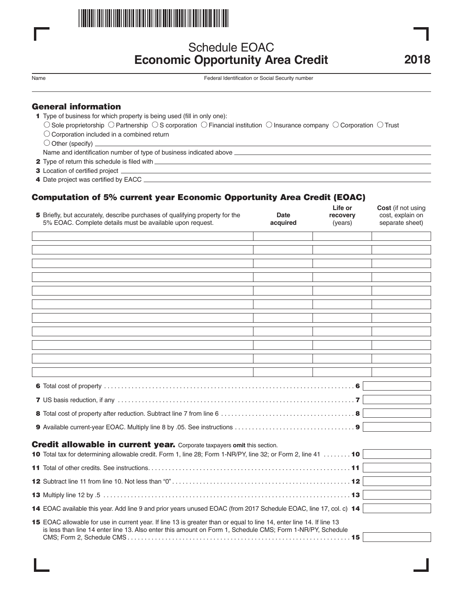

# Schedule EOAC **Economic Opportunity Area Credit**

Name Federal Identification or Social Security number

- 1 Type of business for which property is being used (fill in only one):
	- $\circ$  Sole proprietorship  $\circ$  Partnership  $\circ$  S corporation  $\circ$  Financial institution  $\circ$  Insurance company  $\circ$  Corporation  $\circ$  Trust
	- $\bigcirc$  Corporation included in a combined return
	- $\bigcirc$  Other (specify)  $\overline{\phantom{a}}$

Name and identification number of type of business indicated above

- 12 Type of return this schedule is filed with
- 3 Location of certified project
- 14 Date project was certified by EACC

## Computation of 5% current year Economic Opportunity Area Credit (EOAC)

|                                                                                                                                                                                                                                    | 5 Briefly, but accurately, describe purchases of qualifying property for the<br>5% EOAC. Complete details must be available upon request. | <b>Date</b><br>acquired | Life or<br>recovery<br>(years) | Cost (if not using<br>cost, explain on<br>separate sheet) |  |  |  |  |
|------------------------------------------------------------------------------------------------------------------------------------------------------------------------------------------------------------------------------------|-------------------------------------------------------------------------------------------------------------------------------------------|-------------------------|--------------------------------|-----------------------------------------------------------|--|--|--|--|
|                                                                                                                                                                                                                                    |                                                                                                                                           |                         |                                |                                                           |  |  |  |  |
|                                                                                                                                                                                                                                    |                                                                                                                                           |                         |                                |                                                           |  |  |  |  |
|                                                                                                                                                                                                                                    |                                                                                                                                           |                         |                                |                                                           |  |  |  |  |
|                                                                                                                                                                                                                                    |                                                                                                                                           |                         |                                |                                                           |  |  |  |  |
|                                                                                                                                                                                                                                    |                                                                                                                                           |                         |                                |                                                           |  |  |  |  |
|                                                                                                                                                                                                                                    |                                                                                                                                           |                         |                                |                                                           |  |  |  |  |
|                                                                                                                                                                                                                                    |                                                                                                                                           |                         |                                |                                                           |  |  |  |  |
|                                                                                                                                                                                                                                    |                                                                                                                                           |                         |                                |                                                           |  |  |  |  |
|                                                                                                                                                                                                                                    |                                                                                                                                           |                         |                                |                                                           |  |  |  |  |
|                                                                                                                                                                                                                                    |                                                                                                                                           |                         |                                |                                                           |  |  |  |  |
|                                                                                                                                                                                                                                    |                                                                                                                                           |                         |                                |                                                           |  |  |  |  |
|                                                                                                                                                                                                                                    |                                                                                                                                           |                         |                                |                                                           |  |  |  |  |
|                                                                                                                                                                                                                                    |                                                                                                                                           |                         |                                |                                                           |  |  |  |  |
|                                                                                                                                                                                                                                    |                                                                                                                                           |                         |                                |                                                           |  |  |  |  |
|                                                                                                                                                                                                                                    |                                                                                                                                           |                         |                                |                                                           |  |  |  |  |
|                                                                                                                                                                                                                                    |                                                                                                                                           |                         |                                |                                                           |  |  |  |  |
| <b>Credit allowable in current year.</b> Corporate taxpayers omit this section.                                                                                                                                                    |                                                                                                                                           |                         |                                |                                                           |  |  |  |  |
|                                                                                                                                                                                                                                    | 10 Total tax for determining allowable credit. Form 1, line 28; Form 1-NR/PY, line 32; or Form 2, line 41  10                             |                         |                                |                                                           |  |  |  |  |
|                                                                                                                                                                                                                                    |                                                                                                                                           |                         |                                |                                                           |  |  |  |  |
|                                                                                                                                                                                                                                    |                                                                                                                                           |                         |                                |                                                           |  |  |  |  |
|                                                                                                                                                                                                                                    |                                                                                                                                           |                         |                                |                                                           |  |  |  |  |
|                                                                                                                                                                                                                                    | 14 EOAC available this year. Add line 9 and prior years unused EOAC (from 2017 Schedule EOAC, line 17, col. c) 14                         |                         |                                |                                                           |  |  |  |  |
| 15 EOAC allowable for use in current year. If line 13 is greater than or equal to line 14, enter line 14. If line 13<br>is less than line 14 enter line 13. Also enter this amount on Form 1, Schedule CMS; Form 1-NR/PY, Schedule |                                                                                                                                           |                         |                                |                                                           |  |  |  |  |
|                                                                                                                                                                                                                                    |                                                                                                                                           |                         |                                |                                                           |  |  |  |  |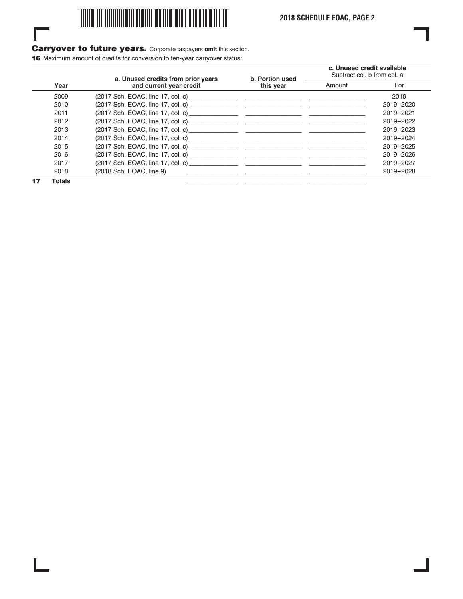

## Carryover to future years. Corporate taxpayers **omit** this section.

16 Maximum amount of credits for conversion to ten-year carryover status:

I

|      |                         | a. Unused credits from prior years | b. Portion used | c. Unused credit available<br>Subtract col. b from col. a |           |
|------|-------------------------|------------------------------------|-----------------|-----------------------------------------------------------|-----------|
| Year | and current year credit | this year                          | Amount          | For                                                       |           |
|      | 2009                    |                                    |                 |                                                           | 2019      |
|      | 2010                    |                                    |                 |                                                           | 2019-2020 |
|      | 2011                    |                                    |                 |                                                           | 2019-2021 |
|      | 2012                    |                                    |                 |                                                           | 2019-2022 |
|      | 2013                    |                                    |                 |                                                           | 2019-2023 |
|      | 2014                    |                                    |                 |                                                           | 2019-2024 |
|      | 2015                    |                                    |                 |                                                           | 2019-2025 |
|      | 2016                    |                                    |                 |                                                           | 2019-2026 |
|      | 2017                    |                                    |                 |                                                           | 2019-2027 |
|      | 2018                    | $(2018$ Sch. EOAC, line 9)         |                 |                                                           | 2019-2028 |
|      | <b>Totals</b>           |                                    |                 |                                                           |           |